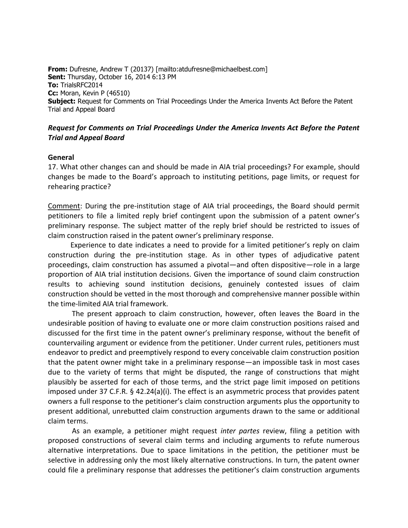**From:** Dufresne, Andrew T (20137) [mailto:atdufresne@michaelbest.com] **Sent:** Thursday, October 16, 2014 6:13 PM **To:** TrialsRFC2014 **Cc:** Moran, Kevin P (46510) **Subject:** Request for Comments on Trial Proceedings Under the America Invents Act Before the Patent Trial and Appeal Board

## *Request for Comments on Trial Proceedings Under the America Invents Act Before the Patent Trial and Appeal Board*

## **General**

17. What other changes can and should be made in AIA trial proceedings? For example, should changes be made to the Board's approach to instituting petitions, page limits, or request for rehearing practice?

Comment: During the pre-institution stage of AIA trial proceedings, the Board should permit petitioners to file a limited reply brief contingent upon the submission of a patent owner's preliminary response. The subject matter of the reply brief should be restricted to issues of claim construction raised in the patent owner's preliminary response.

 Experience to date indicates a need to provide for a limited petitioner's reply on claim construction during the pre-institution stage. As in other types of adjudicative patent proceedings, claim construction has assumed a pivotal—and often dispositive—role in a large proportion of AIA trial institution decisions. Given the importance of sound claim construction results to achieving sound institution decisions, genuinely contested issues of claim construction should be vetted in the most thorough and comprehensive manner possible within the time-limited AIA trial framework.

The present approach to claim construction, however, often leaves the Board in the undesirable position of having to evaluate one or more claim construction positions raised and discussed for the first time in the patent owner's preliminary response, without the benefit of countervailing argument or evidence from the petitioner. Under current rules, petitioners must endeavor to predict and preemptively respond to every conceivable claim construction position that the patent owner might take in a preliminary response—an impossible task in most cases due to the variety of terms that might be disputed, the range of constructions that might plausibly be asserted for each of those terms, and the strict page limit imposed on petitions imposed under 37 C.F.R. § 42.24(a)(i). The effect is an asymmetric process that provides patent owners a full response to the petitioner's claim construction arguments plus the opportunity to present additional, unrebutted claim construction arguments drawn to the same or additional claim terms.

As an example, a petitioner might request *inter partes* review, filing a petition with proposed constructions of several claim terms and including arguments to refute numerous alternative interpretations. Due to space limitations in the petition, the petitioner must be selective in addressing only the most likely alternative constructions. In turn, the patent owner could file a preliminary response that addresses the petitioner's claim construction arguments